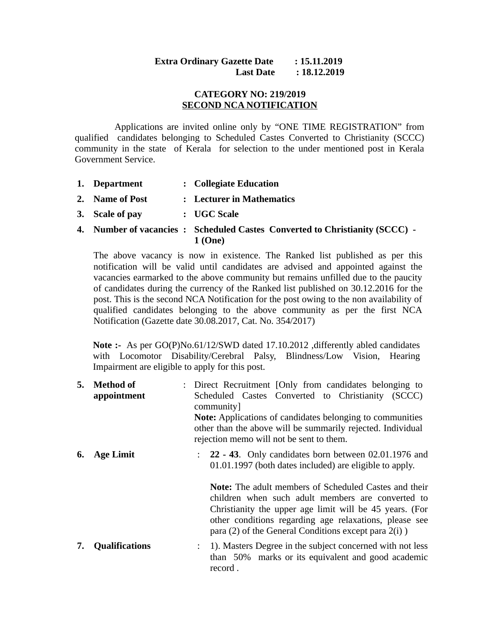## **Extra Ordinary Gazette Date : 15.11.2019 Last Date : 18.12.2019**

## **CATEGORY NO: 219/2019 SECOND NCA NOTIFICATION**

 Applications are invited online only by "ONE TIME REGISTRATION" from qualified candidates belonging to Scheduled Castes Converted to Christianity (SCCC) community in the state of Kerala for selection to the under mentioned post in Kerala Government Service.

- **1. Department : Collegiate Education**
- **2. Name of Post : Lecturer in Mathematics**
- **3. Scale of pay : UGC Scale**
- **4. Number of vacancies : Scheduled Castes Converted to Christianity (SCCC) 1 (One)**

The above vacancy is now in existence. The Ranked list published as per this notification will be valid until candidates are advised and appointed against the vacancies earmarked to the above community but remains unfilled due to the paucity of candidates during the currency of the Ranked list published on 30.12.2016 for the post. This is the second NCA Notification for the post owing to the non availability of qualified candidates belonging to the above community as per the first NCA Notification (Gazette date 30.08.2017, Cat. No. 354/2017)

**Note :-** As per GO(P)No.61/12/SWD dated 17.10.2012 ,differently abled candidates with Locomotor Disability/Cerebral Palsy, Blindness/Low Vision, Hearing Impairment are eligible to apply for this post.

**5. Method of appointment** : Direct Recruitment [Only from candidates belonging to Scheduled Castes Converted to Christianity (SCCC) community] **Note:** Applications of candidates belonging to communities other than the above will be summarily rejected. Individual rejection memo will not be sent to them. **6. Age Limit** : **22 - 43**. Only candidates born between 02.01.1976 and 01.01.1997 (both dates included) are eligible to apply. **Note:** The adult members of Scheduled Castes and their children when such adult members are converted to Christianity the upper age limit will be 45 years. (For other conditions regarding age relaxations, please see para (2) of the General Conditions except para 2(i) ) **7. Qualifications** : 1). Masters Degree in the subject concerned with not less than 50% marks or its equivalent and good academic

record .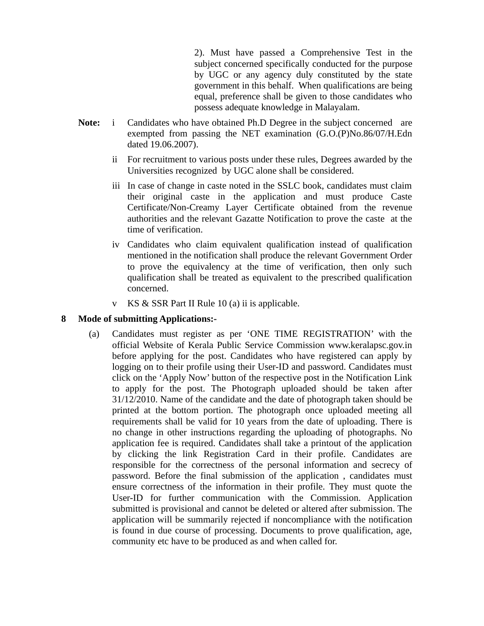2). Must have passed a Comprehensive Test in the subject concerned specifically conducted for the purpose by UGC or any agency duly constituted by the state government in this behalf. When qualifications are being equal, preference shall be given to those candidates who possess adequate knowledge in Malayalam.

- **Note:** i Candidates who have obtained Ph.D Degree in the subject concerned are exempted from passing the NET examination (G.O.(P)No.86/07/H.Edn dated 19.06.2007).
	- ii For recruitment to various posts under these rules, Degrees awarded by the Universities recognized by UGC alone shall be considered.
	- iii In case of change in caste noted in the SSLC book, candidates must claim their original caste in the application and must produce Caste Certificate/Non-Creamy Layer Certificate obtained from the revenue authorities and the relevant Gazatte Notification to prove the caste at the time of verification.
	- iv Candidates who claim equivalent qualification instead of qualification mentioned in the notification shall produce the relevant Government Order to prove the equivalency at the time of verification, then only such qualification shall be treated as equivalent to the prescribed qualification concerned.
	- v KS & SSR Part II Rule 10 (a) ii is applicable.

## **8 Mode of submitting Applications:-**

(a) Candidates must register as per 'ONE TIME REGISTRATION' with the official Website of Kerala Public Service Commission www.keralapsc.gov.in before applying for the post. Candidates who have registered can apply by logging on to their profile using their User-ID and password. Candidates must click on the 'Apply Now' button of the respective post in the Notification Link to apply for the post. The Photograph uploaded should be taken after 31/12/2010. Name of the candidate and the date of photograph taken should be printed at the bottom portion. The photograph once uploaded meeting all requirements shall be valid for 10 years from the date of uploading. There is no change in other instructions regarding the uploading of photographs. No application fee is required. Candidates shall take a printout of the application by clicking the link Registration Card in their profile. Candidates are responsible for the correctness of the personal information and secrecy of password. Before the final submission of the application , candidates must ensure correctness of the information in their profile. They must quote the User-ID for further communication with the Commission. Application submitted is provisional and cannot be deleted or altered after submission. The application will be summarily rejected if noncompliance with the notification is found in due course of processing. Documents to prove qualification, age, community etc have to be produced as and when called for.